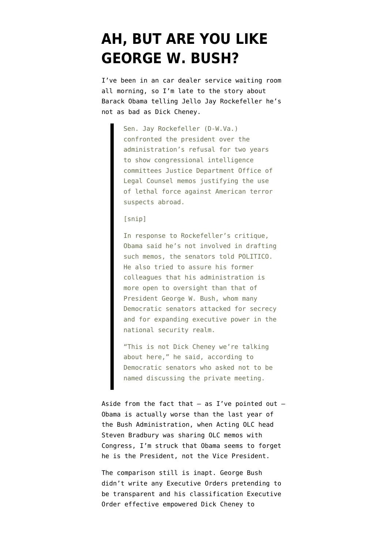## **[AH, BUT ARE YOU LIKE](https://www.emptywheel.net/2013/03/14/ah-but-are-you-like-george-w-bush/) [GEORGE W. BUSH?](https://www.emptywheel.net/2013/03/14/ah-but-are-you-like-george-w-bush/)**

I've been in an car dealer service waiting room all morning, so I'm late to [the story](http://dyn.politico.com/printstory.cfm?uuid=A06B6012-BE10-41BC-9CE6-F9D8A9D3050A) about Barack Obama telling Jello Jay Rockefeller he's not as bad as Dick Cheney.

> Sen. Jay Rockefeller (D-W.Va.) confronted the president over the administration's refusal for two years to show congressional intelligence committees Justice Department Office of Legal Counsel memos justifying the use of lethal force against American terror suspects abroad.

[snip]

In response to Rockefeller's critique, Obama said he's not involved in drafting such memos, the senators told POLITICO. He also tried to assure his former colleagues that his administration is more open to oversight than that of President George W. Bush, whom many Democratic senators attacked for secrecy and for expanding executive power in the national security realm.

"This is not Dick Cheney we're talking about here," he said, according to Democratic senators who asked not to be named discussing the private meeting.

Aside from the fact that  $-$  as I've pointed out  $-$ [Obama is actually worse than the last year of](http://www.emptywheel.net/2013/02/22/obama-administration-not-meeting-standard-set-by-bush-lawyer-steven-bradbury/) [the Bush Administration,](http://www.emptywheel.net/2013/02/22/obama-administration-not-meeting-standard-set-by-bush-lawyer-steven-bradbury/) when Acting OLC head Steven Bradbury was sharing OLC memos with Congress, I'm struck that Obama seems to forget he is the President, not the Vice President.

The comparison still is inapt. George Bush didn't write any Executive Orders pretending to be transparent and his classification Executive Order effective empowered Dick Cheney to